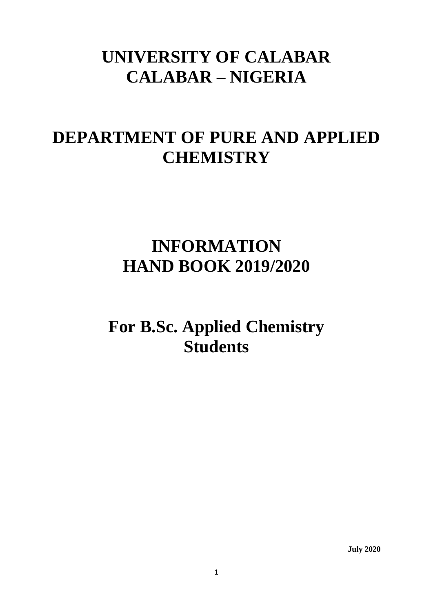# **UNIVERSITY OF CALABAR CALABAR – NIGERIA**

# **DEPARTMENT OF PURE AND APPLIED CHEMISTRY**

# **INFORMATION HAND BOOK 2019/2020**

**For B.Sc. Applied Chemistry Students**

**July 2020**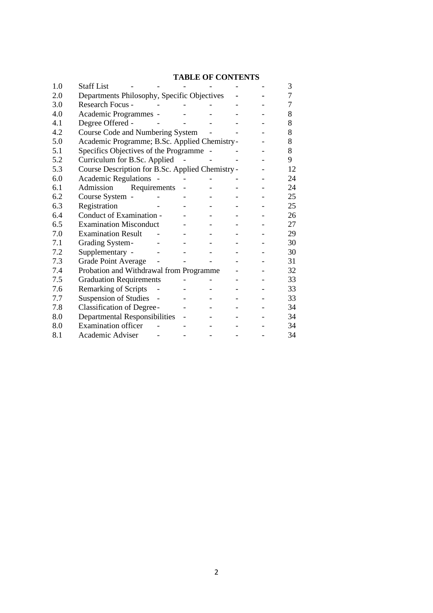# **TABLE OF CONTENTS**

| 1.0 | <b>Staff List</b>                                |  |  | 3  |
|-----|--------------------------------------------------|--|--|----|
| 2.0 | Departments Philosophy, Specific Objectives      |  |  | 7  |
| 3.0 | <b>Research Focus -</b>                          |  |  | 7  |
| 4.0 | Academic Programmes -                            |  |  | 8  |
| 4.1 | Degree Offered -                                 |  |  | 8  |
| 4.2 | Course Code and Numbering System                 |  |  | 8  |
| 5.0 | Academic Programme; B.Sc. Applied Chemistry-     |  |  | 8  |
| 5.1 | Specifics Objectives of the Programme -          |  |  | 8  |
| 5.2 | Curriculum for B.Sc. Applied                     |  |  | 9  |
| 5.3 | Course Description for B.Sc. Applied Chemistry - |  |  | 12 |
| 6.0 | <b>Academic Regulations</b>                      |  |  | 24 |
| 6.1 | Admission<br>Requirements                        |  |  | 24 |
| 6.2 | Course System -                                  |  |  | 25 |
| 6.3 | Registration                                     |  |  | 25 |
| 6.4 | Conduct of Examination -                         |  |  | 26 |
| 6.5 | <b>Examination Misconduct</b>                    |  |  | 27 |
| 7.0 | <b>Examination Result</b>                        |  |  | 29 |
| 7.1 | Grading System-                                  |  |  | 30 |
| 7.2 | Supplementary -                                  |  |  | 30 |
| 7.3 | <b>Grade Point Average</b>                       |  |  | 31 |
| 7.4 | Probation and Withdrawal from Programme          |  |  | 32 |
| 7.5 | <b>Graduation Requirements</b>                   |  |  | 33 |
| 7.6 | <b>Remarking of Scripts</b>                      |  |  | 33 |
| 7.7 | <b>Suspension of Studies</b>                     |  |  | 33 |
| 7.8 | <b>Classification of Degree-</b>                 |  |  | 34 |
| 8.0 | Departmental Responsibilities                    |  |  | 34 |
| 8.0 | <b>Examination officer</b>                       |  |  | 34 |
| 8.1 | Academic Adviser                                 |  |  | 34 |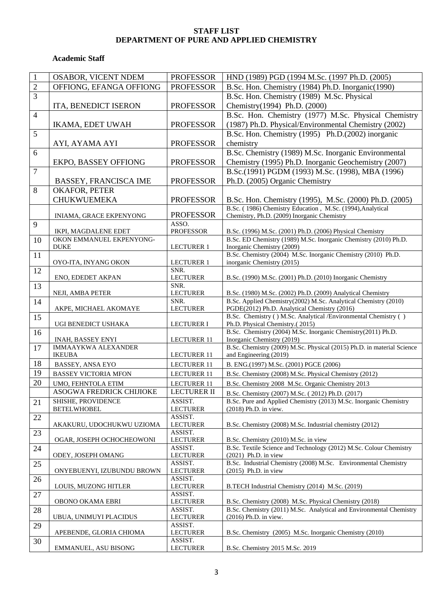#### **STAFF LIST DEPARTMENT OF PURE AND APPLIED CHEMISTRY**

## **Academic Staff**

| $\mathbf{1}$     | OSABOR, VICENT NDEM                              | <b>PROFESSOR</b>           | HND (1989) PGD (1994 M.Sc. (1997 Ph.D. (2005)                                                                                 |
|------------------|--------------------------------------------------|----------------------------|-------------------------------------------------------------------------------------------------------------------------------|
| $\overline{2}$   | OFFIONG, EFANGA OFFIONG                          | <b>PROFESSOR</b>           | B.Sc. Hon. Chemistry (1984) Ph.D. Inorganic(1990)                                                                             |
| $\overline{3}$   |                                                  |                            | B.Sc. Hon. Chemistry (1989) M.Sc. Physical                                                                                    |
|                  | ITA, BENEDICT ISERON                             | <b>PROFESSOR</b>           | Chemistry(1994) Ph.D. (2000)                                                                                                  |
| $\overline{4}$   |                                                  |                            | B.Sc. Hon. Chemistry (1977) M.Sc. Physical Chemistry                                                                          |
|                  | IKAMA, EDET UWAH                                 | <b>PROFESSOR</b>           | (1987) Ph.D. Physical/Environmental Chemistry (2002)                                                                          |
| 5                |                                                  |                            | B.Sc. Hon. Chemistry (1995) Ph.D.(2002) inorganic                                                                             |
|                  | AYI, AYAMA AYI                                   | <b>PROFESSOR</b>           | chemistry                                                                                                                     |
| 6                |                                                  |                            | B.Sc. Chemistry (1989) M.Sc. Inorganic Environmental                                                                          |
|                  | <b>EKPO, BASSEY OFFIONG</b>                      | <b>PROFESSOR</b>           | Chemistry (1995) Ph.D. Inorganic Geochemistry (2007)                                                                          |
| $\boldsymbol{7}$ |                                                  |                            | B.Sc.(1991) PGDM (1993) M.Sc. (1998), MBA (1996)                                                                              |
|                  | <b>BASSEY, FRANCISCA IME</b>                     | <b>PROFESSOR</b>           | Ph.D. (2005) Organic Chemistry                                                                                                |
| 8                | OKAFOR, PETER                                    |                            |                                                                                                                               |
|                  | <b>CHUKWUEMEKA</b>                               | <b>PROFESSOR</b>           | B.Sc. Hon. Chemistry (1995), M.Sc. (2000) Ph.D. (2005)                                                                        |
|                  |                                                  |                            | B.Sc. (1986) Chemistry Education, M.Sc. (1994), Analytical                                                                    |
|                  | INIAMA, GRACE EKPENYONG                          | <b>PROFESSOR</b>           | Chemistry, Ph.D. (2009) Inorganic Chemistry                                                                                   |
| 9                |                                                  | ASSO.                      |                                                                                                                               |
| 10               | IKPI, MAGDALENE EDET<br>OKON EMMANUEL EKPENYONG- | <b>PROFESSOR</b>           | B.Sc. (1996) M.Sc. (2001) Ph.D. (2006) Physical Chemistry<br>B.Sc. ED Chemistry (1989) M.Sc. Inorganic Chemistry (2010) Ph.D. |
|                  | <b>DUKE</b>                                      | <b>LECTURER 1</b>          | Inorganic Chemistry (2009)                                                                                                    |
| 11               |                                                  |                            | B.Sc. Chemistry (2004) M.Sc. Inorganic Chemistry (2010) Ph.D.                                                                 |
|                  | OYO-ITA, INYANG OKON                             | <b>LECTURER 1</b>          | inorganic Chemistry (2015)                                                                                                    |
| 12               |                                                  | SNR.                       |                                                                                                                               |
|                  | ENO, EDEDET AKPAN                                | <b>LECTURER</b><br>SNR.    | B.Sc. (1990) M.Sc. (2001) Ph.D. (2010) Inorganic Chemistry                                                                    |
| 13               | NEJI, AMBA PETER                                 | <b>LECTURER</b>            | B.Sc. (1980) M.Sc. (2002) Ph.D. (2009) Analytical Chemistry                                                                   |
| 14               |                                                  | SNR.                       | B.Sc. Applied Chemistry(2002) M.Sc. Analytical Chemistry (2010)                                                               |
|                  | AKPE, MICHAEL AKOMAYE                            | <b>LECTURER</b>            | PGDE(2012) Ph.D. Analytical Chemistry (2016)                                                                                  |
| 15               |                                                  |                            | B.Sc. Chemistry () M.Sc. Analytical /Environmental Chemistry ()                                                               |
| 16               | UGI BENEDICT USHAKA                              | <b>LECTURER I</b>          | Ph.D. Physical Chemistry.(2015)<br>B.Sc. Chemistry (2004) M.Sc. Inorganic Chemistry (2011) Ph.D.                              |
|                  | INAH, BASSEY ENYI                                | <b>LECTURER 11</b>         | Inorganic Chemistry (2019)                                                                                                    |
| 17               | <b>IMMAAYKWA ALEXANDER</b>                       |                            | B.Sc. Chemistry (2009) M.Sc. Physical (2015) Ph.D. in material Science                                                        |
|                  | <b>IKEUBA</b>                                    | <b>LECTURER 11</b>         | and Engineering (2019)                                                                                                        |
| 18               | BASSEY, ANSA EYO                                 | <b>LECTURER 11</b>         | B. ENG.(1997) M.Sc. (2001) PGCE (2006)                                                                                        |
| 19               | <b>BASSEY VICTORIA MFON</b>                      | <b>LECTURER 11</b>         | B.Sc. Chemistry (2008) M.Sc. Physical Chemistry (2012)                                                                        |
| 20               | UMO, FEHNTOLA ETIM                               | <b>LECTURER 11</b>         | B.Sc. Chemistry 2008 M.Sc. Organic Chemistry 2013                                                                             |
|                  | ASOGWA FREDRICK CHIJIOKE                         | <b>LECTURER II</b>         | B.Sc. Chemistry (2007) M.Sc. (2012) Ph.D. (2017)                                                                              |
| 21               | SHISHE, PROVIDENCE                               | ASSIST.                    | B.Sc. Pure and Applied Chemistry (2013) M.Sc. Inorganic Chemistry                                                             |
|                  | <b>BETELWHOBEL</b>                               | <b>LECTURER</b>            | (2018) Ph.D. in view.                                                                                                         |
| 22               | AKAKURU, UDOCHUKWU UZIOMA                        | ASSIST.<br><b>LECTURER</b> | B.Sc. Chemistry (2008) M.Sc. Industrial chemistry (2012)                                                                      |
| 23               |                                                  | ASSIST.                    |                                                                                                                               |
|                  | OGAR, JOSEPH OCHOCHEOWONI                        | <b>LECTURER</b>            | B.Sc. Chemistry (2010) M.Sc. in view                                                                                          |
| 24               |                                                  | ASSIST.                    | B.Sc. Textile Science and Technology (2012) M.Sc. Colour Chemistry                                                            |
|                  | ODEY, JOSEPH OMANG                               | <b>LECTURER</b>            | (2021) Ph.D. in view                                                                                                          |
| 25               | ONYEBUENYI, IZUBUNDU BROWN                       | ASSIST.<br><b>LECTURER</b> | B.Sc. Industrial Chemistry (2008) M.Sc. Environmental Chemistry<br>(2015) Ph.D. in view                                       |
| 26               |                                                  | ASSIST.                    |                                                                                                                               |
|                  | LOUIS, MUZONG HITLER                             | <b>LECTURER</b>            | B.TECH Industrial Chemistry (2014) M.Sc. (2019)                                                                               |
| 27               |                                                  | ASSIST.                    |                                                                                                                               |
|                  | OBONO OKAMA EBRI                                 | <b>LECTURER</b>            | B.Sc. Chemistry (2008) M.Sc. Physical Chemistry (2018)                                                                        |
| 28               | UBUA, UNIMUYI PLACIDUS                           | ASSIST.<br><b>LECTURER</b> | B.Sc. Chemistry (2011) M.Sc. Analytical and Environmental Chemistry<br>(2016) Ph.D. in view.                                  |
| 29               |                                                  | ASSIST.                    |                                                                                                                               |
|                  | APEBENDE, GLORIA CHIOMA                          | <b>LECTURER</b>            | B.Sc. Chemistry (2005) M.Sc. Inorganic Chemistry (2010)                                                                       |
| 30               |                                                  | ASSIST.                    |                                                                                                                               |
|                  | EMMANUEL, ASU BISONG                             | <b>LECTURER</b>            | B.Sc. Chemistry 2015 M.Sc. 2019                                                                                               |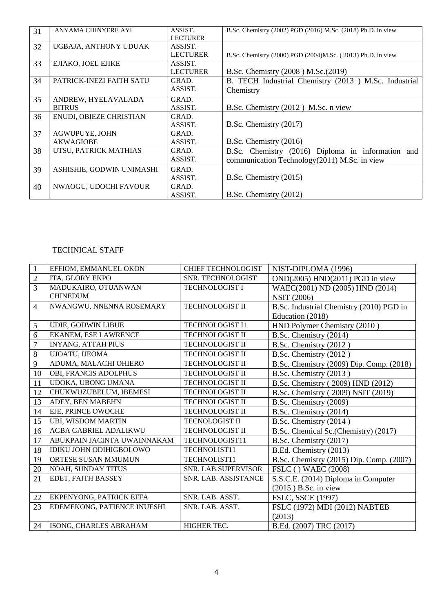| 31 | ANYAMA CHINYERE AYI       | ASSIST.<br><b>LECTURER</b> | B.Sc. Chemistry (2002) PGD (2016) M.Sc. (2018) Ph.D. in view |
|----|---------------------------|----------------------------|--------------------------------------------------------------|
| 32 | UGBAJA, ANTHONY UDUAK     | ASSIST.<br><b>LECTURER</b> |                                                              |
|    |                           |                            | B.Sc. Chemistry (2000) PGD (2004)M.Sc. (2013) Ph.D. in view  |
| 33 | EJIAKO, JOEL EJIKE        | ASSIST.                    |                                                              |
|    |                           | <b>LECTURER</b>            | B.Sc. Chemistry (2008) M.Sc. (2019)                          |
| 34 | PATRICK-INEZI FAITH SATU  | GRAD.                      | B. TECH Industrial Chemistry (2013) M.Sc. Industrial         |
|    |                           | ASSIST.                    | Chemistry                                                    |
| 35 | ANDREW, HYELAVALADA       | GRAD.                      |                                                              |
|    | <b>BITRUS</b>             | ASSIST.                    | B.Sc. Chemistry (2012) M.Sc. n view                          |
| 36 | ENUDI, OBIEZE CHRISTIAN   | GRAD.                      |                                                              |
|    |                           | ASSIST.                    | B.Sc. Chemistry (2017)                                       |
| 37 | <b>AGWUPUYE, JOHN</b>     | GRAD.                      |                                                              |
|    | <b>AKWAGIOBE</b>          | ASSIST.                    | B.Sc. Chemistry (2016)                                       |
| 38 | UTSU, PATRICK MATHIAS     | GRAD.                      | B.Sc. Chemistry (2016) Diploma in information and            |
|    |                           | ASSIST.                    | communication Technology(2011) M.Sc. in view                 |
| 39 | ASHISHIE, GODWIN UNIMASHI | GRAD.                      |                                                              |
|    |                           | ASSIST.                    | B.Sc. Chemistry (2015)                                       |
| 40 | NWAOGU, UDOCHI FAVOUR     | GRAD.                      |                                                              |
|    |                           | ASSIST.                    | B.Sc. Chemistry $(2012)$                                     |

## TECHNICAL STAFF

| 1              | EFFIOM, EMMANUEL OKON          | <b>CHIEF TECHNOLOGIST</b> | NIST-DIPLOMA (1996)                      |
|----------------|--------------------------------|---------------------------|------------------------------------------|
| $\overline{2}$ | ITA, GLORY EKPO                | SNR. TECHNOLOGIST         | OND(2005) HND(2011) PGD in view          |
| $\overline{3}$ | MADUKAIRO, OTUANWAN            | <b>TECHNOLOGIST I</b>     | WAEC(2001) ND (2005) HND (2014)          |
|                | <b>CHINEDUM</b>                |                           | <b>NSIT (2006)</b>                       |
| $\overline{4}$ | NWANGWU, NNENNA ROSEMARY       | <b>TECHNOLOGIST II</b>    | B.Sc. Industrial Chemistry (2010) PGD in |
|                |                                |                           | Education (2018)                         |
| 5              | UDIE, GODWIN LIBUE             | <b>TECHNOLOGIST I1</b>    | HND Polymer Chemistry (2010)             |
| 6              | <b>EKANEM, ESE LAWRENCE</b>    | <b>TECHNOLOGIST II</b>    | B.Sc. Chemistry (2014)                   |
| $\overline{7}$ | <b>INYANG, ATTAH PIUS</b>      | <b>TECHNOLOGIST II</b>    | B.Sc. Chemistry (2012)                   |
| 8              | UJOATU, IJEOMA                 | <b>TECHNOLOGIST II</b>    | B.Sc. Chemistry (2012)                   |
| 9              | ADUMA, MALACHI OHIERO          | <b>TECHNOLOGIST II</b>    | B.Sc. Chemistry (2009) Dip. Comp. (2018) |
| 10             | OBI, FRANCIS ADOLPHUS          | <b>TECHNOLOGIST II</b>    | B.Sc. Chemistry (2013)                   |
| 11             | UDOKA, UBONG UMANA             | <b>TECHNOLOGIST II</b>    | B.Sc. Chemistry (2009) HND (2012)        |
| 12             | CHUKWUZUBELUM, IBEMESI         | <b>TECHNOLOGIST II</b>    | B.Sc. Chemistry (2009) NSIT (2019)       |
| 13             | ADEY, BEN MABEHN               | <b>TECHNOLOGIST II</b>    | B.Sc. Chemistry (2009)                   |
| 14             | EJE, PRINCE OWOCHE             | <b>TECHNOLOGIST II</b>    | B.Sc. Chemistry (2014)                   |
| 15             | <b>UBI, WISDOM MARTIN</b>      | <b>TECNOLOGIST II</b>     | B.Sc. Chemistry (2014)                   |
| 16             | AGBA GABRIEL ADALIKWU          | <b>TECHNOLOGIST II</b>    | B.Sc. Chemical Sc. (Chemistry) (2017)    |
| 17             | ABUKPAIN JACINTA UWAINNAKAM    | TECHNOLOGIST11            | B.Sc. Chemistry (2017)                   |
| 18             | <b>IDIKU JOHN ODIHIGBOLOWO</b> | TECHNOLIST11              | B.Ed. Chemistry (2013)                   |
| 19             | ORTESE SUSAN MMUMUN            | TECHNOLIST11              | B.Sc. Chemistry (2015) Dip. Comp. (2007) |
| 20             | NOAH, SUNDAY TITUS             | SNR. LAB.SUPERVISOR       | <b>FSLC</b> () WAEC (2008)               |
| 21             | EDET, FAITH BASSEY             | SNR. LAB. ASSISTANCE      | S.S.C.E. (2014) Diploma in Computer      |
|                |                                |                           | $(2015)$ B.Sc. in view                   |
| 22             | EKPENYONG, PATRICK EFFA        | SNR. LAB. ASST.           | FSLC, SSCE (1997)                        |
| 23             | EDEMEKONG, PATIENCE INUESHI    | SNR. LAB. ASST.           | FSLC (1972) MDI (2012) NABTEB            |
|                |                                |                           | (2013)                                   |
| 24             | ISONG, CHARLES ABRAHAM         | HIGHER TEC.               | B.Ed. (2007) TRC (2017)                  |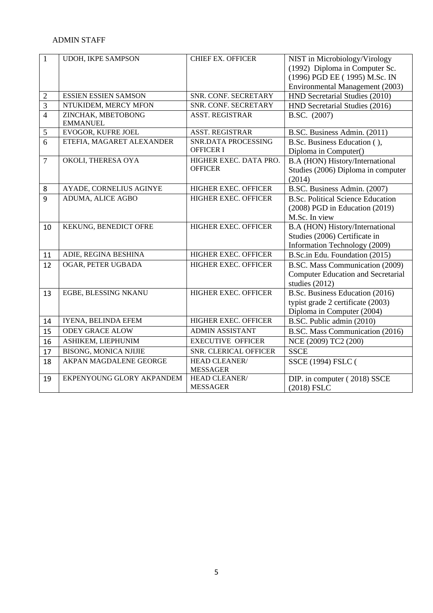# ADMIN STAFF

| $\mathbf{1}$     | <b>UDOH, IKPE SAMPSON</b>             | <b>CHIEF EX. OFFICER</b>                 | NIST in Microbiology/Virology<br>(1992) Diploma in Computer Sc.<br>(1996) PGD EE (1995) M.Sc. IN<br>Environmental Management (2003) |
|------------------|---------------------------------------|------------------------------------------|-------------------------------------------------------------------------------------------------------------------------------------|
| $\boldsymbol{2}$ | <b>ESSIEN ESSIEN SAMSON</b>           | SNR. CONF. SECRETARY                     | HND Secretarial Studies (2010)                                                                                                      |
| $\overline{3}$   | NTUKIDEM, MERCY MFON                  | SNR. CONF. SECRETARY                     | HND Secretarial Studies (2016)                                                                                                      |
| $\overline{4}$   | ZINCHAK, MBETOBONG<br><b>EMMANUEL</b> | <b>ASST. REGISTRAR</b>                   | B.SC. (2007)                                                                                                                        |
| 5                | EVOGOR, KUFRE JOEL                    | <b>ASST. REGISTRAR</b>                   | B.SC. Business Admin. (2011)                                                                                                        |
| 6                | ETEFIA, MAGARET ALEXANDER             | SNR.DATA PROCESSING<br><b>OFFICER I</b>  | B.Sc. Business Education (),<br>Diploma in Computer()                                                                               |
| $\tau$           | OKOLI, THERESA OYA                    | HIGHER EXEC. DATA PRO.<br><b>OFFICER</b> | B.A (HON) History/International<br>Studies (2006) Diploma in computer<br>(2014)                                                     |
| 8                | AYADE, CORNELIUS AGINYE               | HIGHER EXEC. OFFICER                     | B.SC. Business Admin. (2007)                                                                                                        |
| 9                | ADUMA, ALICE AGBO                     | <b>HIGHER EXEC. OFFICER</b>              | <b>B.Sc. Political Science Education</b><br>$(2008)$ PGD in Education $(2019)$<br>M.Sc. In view                                     |
| 10               | KEKUNG, BENEDICT OFRE                 | <b>HIGHER EXEC. OFFICER</b>              | B.A (HON) History/International<br>Studies (2006) Certificate in<br>Information Technology (2009)                                   |
| 11               | ADIE, REGINA BESHINA                  | HIGHER EXEC. OFFICER                     | B.Sc.in Edu. Foundation (2015)                                                                                                      |
| 12               | OGAR, PETER UGBADA                    | HIGHER EXEC. OFFICER                     | B.SC. Mass Communication (2009)<br><b>Computer Education and Secretarial</b><br>studies (2012)                                      |
| 13               | EGBE, BLESSING NKANU                  | HIGHER EXEC. OFFICER                     | B.Sc. Business Education (2016)<br>typist grade 2 certificate (2003)<br>Diploma in Computer (2004)                                  |
| 14               | IYENA, BELINDA EFEM                   | HIGHER EXEC. OFFICER                     | B.SC. Public admin (2010)                                                                                                           |
| 15               | <b>ODEY GRACE ALOW</b>                | <b>ADMIN ASSISTANT</b>                   | B.SC. Mass Communication (2016)                                                                                                     |
| 16               | ASHIKEM, LIEPHUNIM                    | <b>EXECUTIVE OFFICER</b>                 | NCE (2009) TC2 (200)                                                                                                                |
| 17               | <b>BISONG, MONICA NJIJIE</b>          | SNR. CLERICAL OFFICER                    | <b>SSCE</b>                                                                                                                         |
| 18               | AKPAN MAGDALENE GEORGE                | HEAD CLEANER/<br><b>MESSAGER</b>         | <b>SSCE (1994) FSLC (</b>                                                                                                           |
| 19               | EKPENYOUNG GLORY AKPANDEM             | HEAD CLEANER/<br><b>MESSAGER</b>         | DIP. in computer (2018) SSCE<br>(2018) FSLC                                                                                         |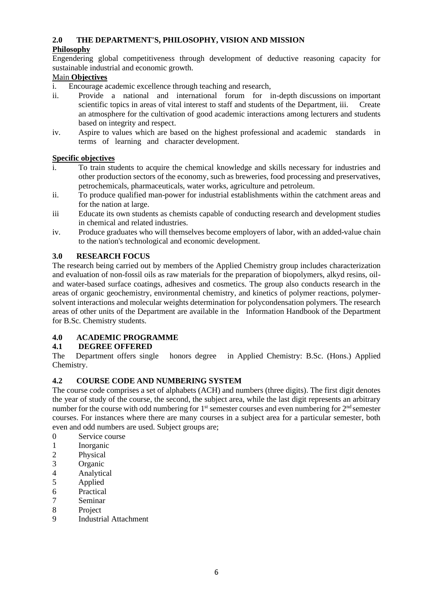# **2.0 THE DEPARTMENT'S, PHILOSOPHY, VISION AND MISSION**

# **Philosophy**

Engendering global competitiveness through development of deductive reasoning capacity for sustainable industrial and economic growth.

# Main **Objectives**

i. Encourage academic excellence through teaching and research,

- ii. Provide a national and international forum for in-depth discussions on important scientific topics in areas of vital interest to staff and students of the Department, iii. Create an atmosphere for the cultivation of good academic interactions among lecturers and students based on integrity and respect.
- iv. Aspire to values which are based on the highest professional and academic standards in terms of learning and character development.

# **Specific objectives**

- i. To train students to acquire the chemical knowledge and skills necessary for industries and other production sectors of the economy, such as breweries, food processing and preservatives, petrochemicals, pharmaceuticals, water works, agriculture and petroleum.
- ii. To produce qualified man-power for industrial establishments within the catchment areas and for the nation at large.
- iii Educate its own students as chemists capable of conducting research and development studies in chemical and related industries.
- iv. Produce graduates who will themselves become employers of labor, with an added-value chain to the nation's technological and economic development.

# **3.0 RESEARCH FOCUS**

The research being carried out by members of the Applied Chemistry group includes characterization and evaluation of non-fossil oils as raw materials for the preparation of biopolymers, alkyd resins, oiland water-based surface coatings, adhesives and cosmetics. The group also conducts research in the areas of organic geochemistry, environmental chemistry, and kinetics of polymer reactions, polymersolvent interactions and molecular weights determination for polycondensation polymers. The research areas of other units of the Department are available in the Information Handbook of the Department for B.Sc. Chemistry students.

# **4.0 ACADEMIC PROGRAMME**

# **4.1 DEGREE OFFERED**

The Department offers single honors degree in Applied Chemistry: B.Sc. (Hons.) Applied Chemistry.

# **4.2 COURSE CODE AND NUMBERING SYSTEM**

The course code comprises a set of alphabets (ACH) and numbers (three digits). The first digit denotes the year of study of the course, the second, the subject area, while the last digit represents an arbitrary number for the course with odd numbering for 1<sup>st</sup> semester courses and even numbering for 2<sup>nd</sup> semester courses. For instances where there are many courses in a subject area for a particular semester, both even and odd numbers are used. Subject groups are;

- 0 Service course
- 1 Inorganic
- 2 Physical
- 3 Organic
- 4 Analytical
- 5 Applied
- 6 Practical
- 7 Seminar
- 8 Project
- 9 Industrial Attachment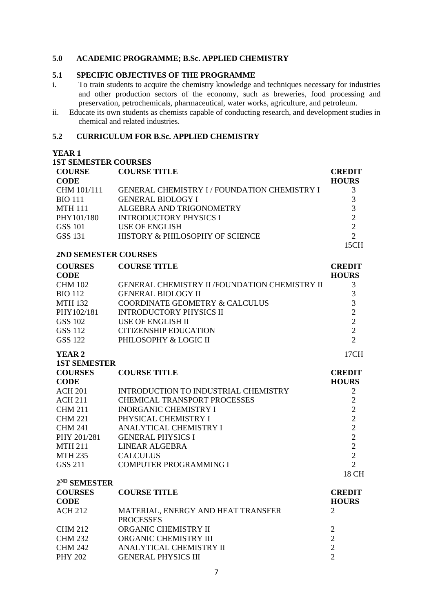## **5.0 ACADEMIC PROGRAMME; B.Sc. APPLIED CHEMISTRY**

#### **5.1 SPECIFIC OBJECTIVES OF THE PROGRAMME**

- i. To train students to acquire the chemistry knowledge and techniques necessary for industries and other production sectors of the economy, such as breweries, food processing and preservation, petrochemicals, pharmaceutical, water works, agriculture, and petroleum.
- ii. Educate its own students as chemists capable of conducting research, and development studies in chemical and related industries.

## **5.2 CURRICULUM FOR B.Sc. APPLIED CHEMISTRY**

| <b>1ST SEMESTER COURSES</b> |                                                   |                |
|-----------------------------|---------------------------------------------------|----------------|
| <b>COURSE</b>               | <b>COURSE TITLE</b>                               | <b>CREDIT</b>  |
| <b>CODE</b>                 |                                                   | <b>HOURS</b>   |
| CHM 101/111                 | <b>GENERAL CHEMISTRY I/FOUNDATION CHEMISTRY I</b> | 3              |
| <b>BIO 111</b>              | <b>GENERAL BIOLOGY I</b>                          | $\overline{3}$ |
| <b>MTH 111</b>              | ALGEBRA AND TRIGONOMETRY                          | $\overline{3}$ |
| PHY101/180                  | <b>INTRODUCTORY PHYSICS I</b>                     | $\overline{2}$ |
| <b>GSS 101</b>              | <b>USE OF ENGLISH</b>                             | $\overline{2}$ |
| <b>GSS 131</b>              | HISTORY & PHILOSOPHY OF SCIENCE                   | $\overline{2}$ |
|                             |                                                   | 15CH           |
| 2ND SEMESTER COURSES        |                                                   |                |
| <b>COURSES</b>              | <b>COURSE TITLE</b>                               | <b>CREDIT</b>  |
| <b>CODE</b>                 |                                                   | <b>HOURS</b>   |
| <b>CHM 102</b>              | GENERAL CHEMISTRY II /FOUNDATION CHEMISTRY II     | 3              |
| <b>BIO 112</b>              | <b>GENERAL BIOLOGY II</b>                         | 3              |
| <b>MTH 132</b>              | COORDINATE GEOMETRY & CALCULUS                    | 3              |
| PHY102/181                  | <b>INTRODUCTORY PHYSICS II</b>                    | $\overline{2}$ |
| <b>GSS 102</b>              | <b>USE OF ENGLISH II</b>                          | $\overline{2}$ |
| <b>GSS 112</b>              | <b>CITIZENSHIP EDUCATION</b>                      | $\overline{2}$ |
| <b>GSS 122</b>              | PHILOSOPHY & LOGIC II                             | $\overline{2}$ |
|                             |                                                   |                |
| <b>YEAR 2</b>               |                                                   | 17CH           |
| <b>1ST SEMESTER</b>         |                                                   |                |
| <b>COURSES</b>              | <b>COURSE TITLE</b>                               | <b>CREDIT</b>  |
| <b>CODE</b>                 |                                                   | <b>HOURS</b>   |
| <b>ACH 201</b>              | INTRODUCTION TO INDUSTRIAL CHEMISTRY              | $\overline{2}$ |
| <b>ACH 211</b>              | <b>CHEMICAL TRANSPORT PROCESSES</b>               | $\overline{2}$ |
| <b>CHM 211</b>              | <b>INORGANIC CHEMISTRY I</b>                      | $\overline{2}$ |
| <b>CHM 221</b>              | PHYSICAL CHEMISTRY I                              | $\overline{2}$ |
| <b>CHM 241</b>              | ANALYTICAL CHEMISTRY I                            | $\overline{2}$ |
| PHY 201/281                 | <b>GENERAL PHYSICS I</b>                          | $\overline{c}$ |
| <b>MTH 211</b>              | <b>LINEAR ALGEBRA</b>                             | $\overline{2}$ |
| <b>MTH 235</b>              | <b>CALCULUS</b>                                   | $\overline{2}$ |
| GSS 211                     | <b>COMPUTER PROGRAMMING I</b>                     | $\overline{2}$ |
|                             |                                                   | 18 CH          |
| 2 <sup>ND</sup> SEMESTER    |                                                   |                |
| <b>COURSES</b>              | <b>COURSE TITLE</b>                               | <b>CREDIT</b>  |
| <b>CODE</b>                 |                                                   | <b>HOURS</b>   |
| <b>ACH 212</b>              | MATERIAL, ENERGY AND HEAT TRANSFER                | 2              |
|                             | <b>PROCESSES</b>                                  |                |
| <b>CHM 212</b>              | ORGANIC CHEMISTRY II                              | $\overline{c}$ |
| <b>CHM 232</b>              | ORGANIC CHEMISTRY III                             | $\overline{2}$ |
| <b>CHM 242</b>              | ANALYTICAL CHEMISTRY II                           | $\overline{2}$ |
| <b>PHY 202</b>              | <b>GENERAL PHYSICS III</b>                        | $\overline{2}$ |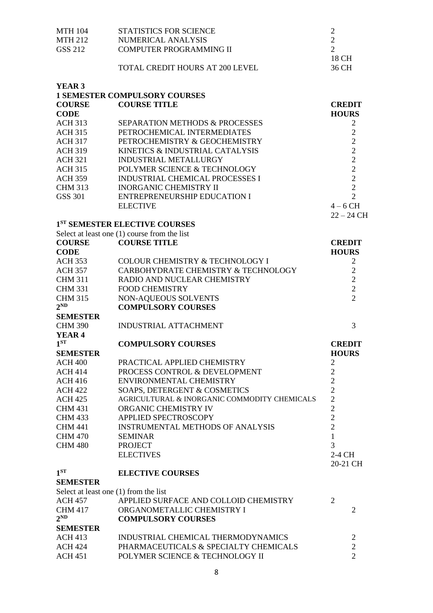| <b>MTH 104</b>                        | STATISTICS FOR SCIENCE                         | $\overline{c}$ |                |
|---------------------------------------|------------------------------------------------|----------------|----------------|
| <b>MTH 212</b>                        | <b>NUMERICAL ANALYSIS</b>                      | $\overline{2}$ |                |
| GSS 212                               | <b>COMPUTER PROGRAMMING II</b>                 | $\overline{2}$ |                |
|                                       |                                                | 18 CH          |                |
|                                       | <b>TOTAL CREDIT HOURS AT 200 LEVEL</b>         | 36 CH          |                |
| YEAR <sub>3</sub>                     |                                                |                |                |
|                                       | <b>1 SEMESTER COMPULSORY COURSES</b>           |                |                |
| <b>COURSE</b>                         | <b>COURSE TITLE</b>                            | <b>CREDIT</b>  |                |
| <b>CODE</b>                           |                                                | <b>HOURS</b>   |                |
| <b>ACH 313</b>                        | <b>SEPARATION METHODS &amp; PROCESSES</b>      |                | 2              |
| <b>ACH 315</b>                        | PETROCHEMICAL INTERMEDIATES                    |                | $\overline{2}$ |
| <b>ACH 317</b>                        | PETROCHEMISTRY & GEOCHEMISTRY                  |                | $\overline{2}$ |
| <b>ACH 319</b>                        | KINETICS & INDUSTRIAL CATALYSIS                |                | $\overline{2}$ |
| <b>ACH 321</b>                        | <b>INDUSTRIAL METALLURGY</b>                   |                | $\overline{2}$ |
| <b>ACH 315</b>                        | POLYMER SCIENCE & TECHNOLOGY                   |                | $\overline{2}$ |
| <b>ACH 359</b>                        | <b>INDUSTRIAL CHEMICAL PROCESSES I</b>         |                | $\overline{2}$ |
| <b>CHM 313</b>                        | <b>INORGANIC CHEMISTRY II</b>                  |                | $\overline{2}$ |
| <b>GSS 301</b>                        | <b>ENTREPRENEURSHIP EDUCATION I</b>            |                | $\overline{2}$ |
|                                       | <b>ELECTIVE</b>                                | $4-6$ CH       |                |
|                                       |                                                |                | $22 - 24$ CH   |
|                                       | 1ST SEMESTER ELECTIVE COURSES                  |                |                |
|                                       | Select at least one $(1)$ course from the list |                |                |
| <b>COURSE</b>                         | <b>COURSE TITLE</b>                            | <b>CREDIT</b>  |                |
| <b>CODE</b>                           |                                                | <b>HOURS</b>   |                |
| <b>ACH 353</b>                        | COLOUR CHEMISTRY & TECHNOLOGY I                |                | $\overline{2}$ |
| <b>ACH 357</b>                        | CARBOHYDRATE CHEMISTRY & TECHNOLOGY            |                | $\mathfrak{2}$ |
| <b>CHM 311</b>                        | RADIO AND NUCLEAR CHEMISTRY                    |                | $\sqrt{2}$     |
| <b>CHM 331</b>                        | <b>FOOD CHEMISTRY</b>                          |                | $\sqrt{2}$     |
| <b>CHM 315</b>                        | NON-AQUEOUS SOLVENTS                           |                | $\overline{2}$ |
| $2^{ND}$                              | <b>COMPULSORY COURSES</b>                      |                |                |
| <b>SEMESTER</b>                       |                                                |                |                |
| <b>CHM 390</b>                        | <b>INDUSTRIAL ATTACHMENT</b>                   |                | 3              |
| YEAR <sub>4</sub>                     |                                                |                |                |
| 1 <sup>ST</sup>                       | <b>COMPULSORY COURSES</b>                      | <b>CREDIT</b>  |                |
| <b>SEMESTER</b>                       |                                                | <b>HOURS</b>   |                |
| <b>ACH 400</b>                        | PRACTICAL APPLIED CHEMISTRY                    | $\overline{2}$ |                |
| <b>ACH 414</b>                        | PROCESS CONTROL & DEVELOPMENT                  | $\overline{2}$ |                |
| <b>ACH 416</b>                        | ENVIRONMENTAL CHEMISTRY                        | $\overline{c}$ |                |
| <b>ACH 422</b>                        | SOAPS, DETERGENT & COSMETICS                   | $\overline{c}$ |                |
| <b>ACH 425</b>                        | AGRICULTURAL & INORGANIC COMMODITY CHEMICALS   | $\overline{2}$ |                |
| <b>CHM 431</b>                        | ORGANIC CHEMISTRY IV                           | $\overline{2}$ |                |
| <b>CHM 433</b>                        | APPLIED SPECTROSCOPY                           | $\overline{2}$ |                |
| <b>CHM 441</b>                        | <b>INSTRUMENTAL METHODS OF ANALYSIS</b>        | $\overline{2}$ |                |
| <b>CHM 470</b>                        | <b>SEMINAR</b>                                 | $\mathbf{1}$   |                |
| <b>CHM 480</b>                        | <b>PROJECT</b>                                 | 3              |                |
|                                       | <b>ELECTIVES</b>                               | 2-4 CH         |                |
|                                       |                                                | 20-21 CH       |                |
| 1 <sup>ST</sup>                       | <b>ELECTIVE COURSES</b>                        |                |                |
| <b>SEMESTER</b>                       |                                                |                |                |
| Select at least one (1) from the list |                                                |                |                |
| <b>ACH 457</b>                        | APPLIED SURFACE AND COLLOID CHEMISTRY          | $\overline{2}$ |                |
| <b>CHM 417</b>                        | ORGANOMETALLIC CHEMISTRY I                     |                | $\overline{2}$ |
| $2^{ND}$                              | <b>COMPULSORY COURSES</b>                      |                |                |
| <b>SEMESTER</b>                       |                                                |                |                |
| <b>ACH 413</b>                        | INDUSTRIAL CHEMICAL THERMODYNAMICS             |                | $\overline{2}$ |
| <b>ACH 424</b>                        | PHARMACEUTICALS & SPECIALTY CHEMICALS          |                | $\overline{2}$ |
| <b>ACH 451</b>                        | POLYMER SCIENCE & TECHNOLOGY II                |                | $\overline{2}$ |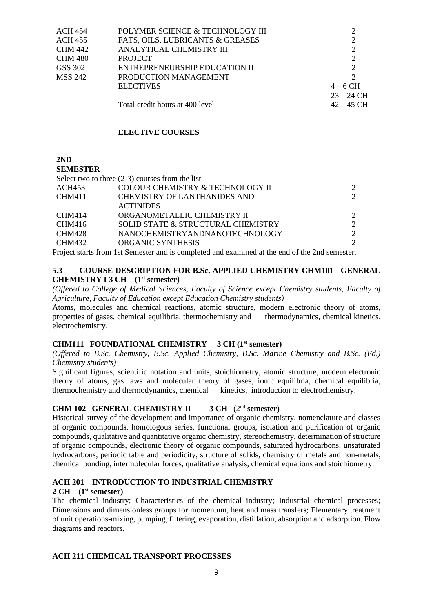| <b>ACH 454</b> | POLYMER SCIENCE & TECHNOLOGY III |                       |
|----------------|----------------------------------|-----------------------|
| <b>ACH 455</b> | FATS, OILS, LUBRICANTS & GREASES | 2                     |
| <b>CHM 442</b> | ANALYTICAL CHEMISTRY III         | 2                     |
| <b>CHM 480</b> | <b>PROJECT</b>                   | 2                     |
| GSS 302        | ENTREPRENEURSHIP EDUCATION II    | $\mathcal{D}_{\cdot}$ |
| <b>MSS 242</b> | PRODUCTION MANAGEMENT            | $\mathcal{D}$         |
|                | <b>ELECTIVES</b>                 | $4-6$ CH              |
|                |                                  | $23 - 24 \text{ CH}$  |
|                | Total credit hours at 400 level  | $42 - 45$ CH          |

## **ELECTIVE COURSES**

**2ND** 

**SEMESTER**

|               | Select two to three $(2-3)$ courses from the list |  |
|---------------|---------------------------------------------------|--|
| ACH453        | COLOUR CHEMISTRY & TECHNOLOGY II                  |  |
| CHM411        | CHEMISTRY OF LANTHANIDES AND                      |  |
|               | <b>ACTINIDES</b>                                  |  |
| CHM414        | ORGANOMETALLIC CHEMISTRY II                       |  |
| CHM416        | SOLID STATE & STRUCTURAL CHEMISTRY                |  |
| <b>CHM428</b> | NANOCHEMISTRYANDNANOTECHNOLOGY                    |  |
| CHM432        | <b>ORGANIC SYNTHESIS</b>                          |  |
|               |                                                   |  |

Project starts from 1st Semester and is completed and examined at the end of the 2nd semester.

## **5.3 COURSE DESCRIPTION FOR B.Sc. APPLIED CHEMISTRY CHM101 GENERAL CHEMISTRY I 3 CH (1st semester)**

*(Offered to College of Medical Sciences, Faculty of Science except Chemistry students, Faculty of Agriculture, Faculty of Education except Education Chemistry students)*

Atoms, molecules and chemical reactions, atomic structure, modern electronic theory of atoms, properties of gases, chemical equilibria, thermochemistry and thermodynamics, chemical kinetics, electrochemistry.

#### **CHM111 FOUNDATIONAL CHEMISTRY 3 CH (1st semester)**

*(Offered to B.Sc. Chemistry, B.Sc. Applied Chemistry, B.Sc. Marine Chemistry and B.Sc. (Ed.) Chemistry students)*

Significant figures, scientific notation and units, stoichiometry, atomic structure, modern electronic theory of atoms, gas laws and molecular theory of gases, ionic equilibria, chemical equilibria, thermochemistry and thermodynamics, chemical kinetics, introduction to electrochemistry.

# **CHM 102 GENERAL CHEMISTRY II 3 CH** (2nd **semester)**

Historical survey of the development and importance of organic chemistry, nomenclature and classes of organic compounds, homologous series, functional groups, isolation and purification of organic compounds, qualitative and quantitative organic chemistry, stereochemistry, determination of structure of organic compounds, electronic theory of organic compounds, saturated hydrocarbons, unsaturated hydrocarbons, periodic table and periodicity, structure of solids, chemistry of metals and non-metals, chemical bonding, intermolecular forces, qualitative analysis, chemical equations and stoichiometry.

# **ACH 201 INTRODUCTION TO INDUSTRIAL CHEMISTRY**

## **2 CH (1st semester)**

The chemical industry; Characteristics of the chemical industry; Industrial chemical processes; Dimensions and dimensionless groups for momentum, heat and mass transfers; Elementary treatment of unit operations-mixing, pumping, filtering, evaporation, distillation, absorption and adsorption. Flow diagrams and reactors.

# **ACH 211 CHEMICAL TRANSPORT PROCESSES**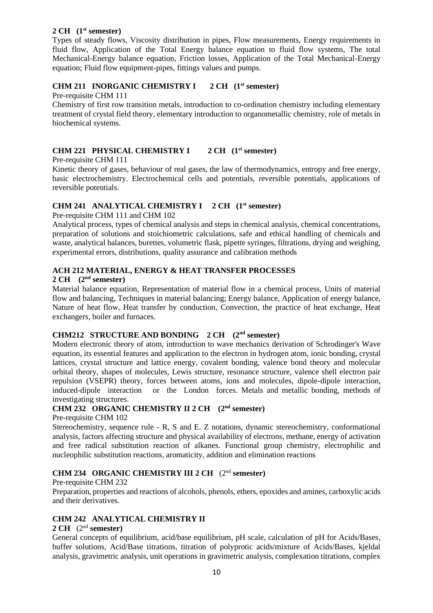## **2 CH (1st semester)**

Types of steady flows, Viscosity distribution in pipes, Flow measurements, Energy requirements in fluid flow, Application of the Total Energy balance equation to fluid flow systems, The total Mechanical-Energy balance equation, Friction losses, Application of the Total Mechanical-Energy equation; Fluid flow equipment-pipes, fittings values and pumps.

# **CHM 211 INORGANIC CHEMISTRY I 2 CH (1st semester)**

Pre-requisite CHM 111

Chemistry of first row transition metals, introduction to co-ordination chemistry including elementary treatment of crystal field theory, elementary introduction to organometallic chemistry, role of metals in biochemical systems.

# **CHM 221 PHYSICAL CHEMISTRY I 2 CH (1st semester)**

## Pre-requisite CHM 111

Kinetic theory of gases, behaviour of real gases, the law of thermodynamics, entropy and free energy, basic electrochemistry. Electrochemical cells and potentials, reversible potentials, applications of reversible potentials.

# **CHM 241 ANALYTICAL CHEMISTRY I 2 CH (1st semester)**

Pre-requisite CHM 111 and CHM 102

Analytical process, types of chemical analysis and steps in chemical analysis, chemical concentrations, preparation of solutions and stoichiometric calculations, safe and ethical handling of chemicals and waste, analytical balances, burettes, volumetric flask, pipette syringes, filtrations, drying and weighing, experimental errors, distributions, quality assurance and calibration methods

# **ACH 212 MATERIAL, ENERGY & HEAT TRANSFER PROCESSES**

## **2 CH (2nd semester)**

Material balance equation, Representation of material flow in a chemical process, Units of material flow and balancing, Techniques in material balancing; Energy balance, Application of energy balance, Nature of heat flow, Heat transfer by conduction, Convection, the practice of heat exchange, Heat exchangers, boiler and furnaces.

# **CHM212 STRUCTURE AND BONDING 2 CH (2nd semester)**

Modern electronic theory of atom, introduction to wave mechanics derivation of Schrodinger's Wave equation, its essential features and application to the electron in hydrogen atom, ionic bonding, crystal lattices, crystal structure and lattice energy, covalent bonding, valence bond theory and molecular orbital theory, shapes of molecules, Lewis structure, resonance structure, valence shell electron pair repulsion (VSEPR) theory, forces between atoms, ions and molecules, dipole-dipole interaction, induced-dipole interaction or the London forces. Metals and metallic bonding, methods of investigating structures.

# **CHM 232 ORGANIC CHEMISTRY II 2 CH (2nd semester)**

## Pre-requisite CHM 102

Stereochemistry, sequence rule - R, S and E. Z notations, dynamic stereochemistry, conformational analysis, factors affecting structure and physical availability of electrons, methane, energy of activation and free radical substitution reaction of alkanes. Functional group chemistry, electrophilic and nucleophilic substitution reactions, aromaticity, addition and elimination reactions

# **CHM 234 ORGANIC CHEMISTRY III 2 CH** (2nd **semester)**

# Pre-requisite CHM 232

Preparation, properties and reactions of alcohols, phenols, ethers, epoxides and amines, carboxylic acids and their derivatives.

# **CHM 242 ANALYTICAL CHEMISTRY II**

#### **2 CH** (2nd **semester)**

General concepts of equilibrium, acid/base equilibrium, pH scale, calculation of pH for Acids/Bases, buffer solutions, Acid/Base titrations, titration of polyprotic acids/mixture of Acids/Bases, kjeldal analysis, gravimetric analysis, unit operations in gravimetric analysis, complexation titrations, complex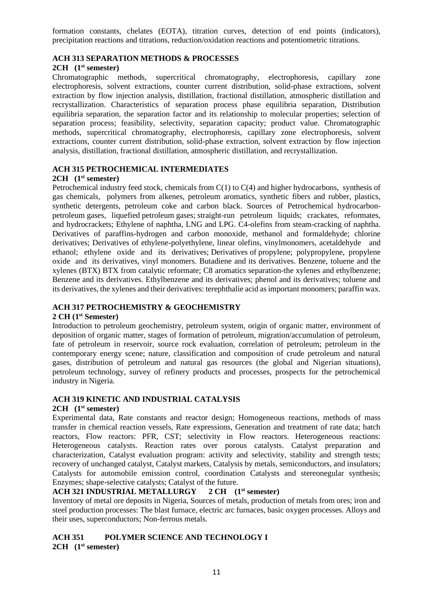formation constants, chelates (EOTA), titration curves, detection of end points (indicators), precipitation reactions and titrations, reduction/oxidation reactions and potentiometric titrations.

## **ACH 313 SEPARATION METHODS & PROCESSES**

## **2CH (1st semester)**

Chromatographic methods, supercritical chromatography, electrophoresis, capillary zone electrophoresis, solvent extractions, counter current distribution, solid-phase extractions, solvent extraction by flow injection analysis, distillation, fractional distillation, atmospheric distillation and recrystallization. Characteristics of separation process phase equilibria separation, Distribution equilibria separation, the separation factor and its relationship to molecular properties; selection of separation process; feasibility, selectivity, separation capacity; product value. Chromatographic methods, supercritical chromatography, electrophoresis, capillary zone electrophoresis, solvent extractions, counter current distribution, solid-phase extraction, solvent extraction by flow injection analysis, distillation, fractional distillation, atmospheric distillation, and recrystallization.

# **ACH 315 PETROCHEMICAL INTERMEDIATES**

## **2CH (1st semester)**

Petrochemical industry feed stock, chemicals from C(1) to C(4) and higher hydrocarbons, synthesis of gas chemicals, polymers from alkenes, petroleum aromatics, synthetic fibers and rubber, plastics, synthetic detergents, petroleum coke and carbon black. Sources of Petrochemical hydrocarbonpetroleum gases, liquefied petroleum gases; straight-run petroleum liquids; crackates, reformates, and hydrocrackets; Ethylene of naphtha, LNG and LPG. C4-olefins from steam-cracking of naphtha. Derivatives of paraffins-hydrogen and carbon monoxide, methanol and formaldehyde; chlorine derivatives; Derivatives of ethylene-polyethylene, linear olefins, vinylmonomers, acetaldehyde and ethanol; ethylene oxide and its derivatives; Derivatives of propylene; polypropylene, propylene oxide and its derivatives, vinyl monomers. Butadiene and its derivatives. Benzene, toluene and the xylenes (BTX) BTX from catalytic reformate; C8 aromatics separation-the xylenes and ethylbenzene; Benzene and its derivatives. Ethylbenzene and its derivatives; phenol and its derivatives; toluene and its derivatives, the xylenes and their derivatives: terephthalie acid as important monomers; paraffin wax.

## **ACH 317 PETROCHEMISTRY & GEOCHEMISTRY**

#### **2 CH (1st Semester)**

Introduction to petroleum geochemistry, petroleum system, origin of organic matter, environment of deposition of organic matter, stages of formation of petroleum, migration/accumulation of petroleum, fate of petroleum in reservoir, source rock evaluation, correlation of petroleum; petroleum in the contemporary energy scene; nature, classification and composition of crude petroleum and natural gases, distribution of petroleum and natural gas resources (the global and Nigerian situations), petroleum technology, survey of refinery products and processes, prospects for the petrochemical industry in Nigeria.

# **ACH 319 KINETIC AND INDUSTRIAL CATALYSIS**

## **2CH (1st semester)**

Experimental data, Rate constants and reactor design; Homogeneous reactions, methods of mass transfer in chemical reaction vessels, Rate expressions, Generation and treatment of rate data; batch reactors, Flow reactors: PFR, CST; selectivity in Flow reactors. Heterogeneous reactions: Heterogeneous catalysts. Reaction rates over porous catalysts. Catalyst preparation and characterization, Catalyst evaluation program: activity and selectivity, stability and strength tests; recovery of unchanged catalyst, Catalyst markets, Catalysis by metals, semiconductors, and insulators; Catalysts for automobile emission control, coordination Catalysts and stereonegular synthesis; Enzymes; shape-selective catalysts; Catalyst of the future.

## **ACH 321 INDUSTRIAL METALLURGY 2 CH (1st semester)**

Inventory of metal ore deposits in Nigeria, Sources of metals, production of metals from ores; iron and steel production processes: The blast furnace, electric arc furnaces, basic oxygen processes. Alloys and their uses, superconductors; Non-ferrous metals.

# **ACH 351 POLYMER SCIENCE AND TECHNOLOGY I**

**2CH (1st semester)**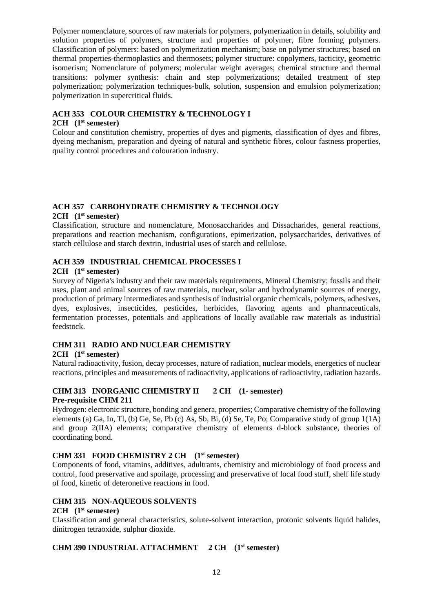Polymer nomenclature, sources of raw materials for polymers, polymerization in details, solubility and solution properties of polymers, structure and properties of polymer, fibre forming polymers. Classification of polymers: based on polymerization mechanism; base on polymer structures; based on thermal properties-thermoplastics and thermosets; polymer structure: copolymers, tacticity, geometric isomerism; Nomenclature of polymers; molecular weight averages; chemical structure and thermal transitions: polymer synthesis: chain and step polymerizations; detailed treatment of step polymerization; polymerization techniques-bulk, solution, suspension and emulsion polymerization; polymerization in supercritical fluids.

# **ACH 353 COLOUR CHEMISTRY & TECHNOLOGY I**

#### **2CH (1st semester)**

Colour and constitution chemistry, properties of dyes and pigments, classification of dyes and fibres, dyeing mechanism, preparation and dyeing of natural and synthetic fibres, colour fastness properties, quality control procedures and colouration industry.

# **ACH 357 CARBOHYDRATE CHEMISTRY & TECHNOLOGY**

#### **2CH (1st semester)**

Classification, structure and nomenclature, Monosaccharides and Dissacharides, general reactions, preparations and reaction mechanism, configurations, epimerization, polysaccharides, derivatives of starch cellulose and starch dextrin, industrial uses of starch and cellulose.

## **ACH 359 INDUSTRIAL CHEMICAL PROCESSES I**

#### **2CH (1st semester)**

Survey of Nigeria's industry and their raw materials requirements, Mineral Chemistry; fossils and their uses, plant and animal sources of raw materials, nuclear, solar and hydrodynamic sources of energy, production of primary intermediates and synthesis of industrial organic chemicals, polymers, adhesives, dyes, explosives, insecticides, pesticides, herbicides, flavoring agents and pharmaceuticals, fermentation processes, potentials and applications of locally available raw materials as industrial feedstock.

## **CHM 311 RADIO AND NUCLEAR CHEMISTRY**

#### **2CH (1st semester)**

Natural radioactivity, fusion, decay processes, nature of radiation, nuclear models, energetics of nuclear reactions, principles and measurements of radioactivity, applications of radioactivity, radiation hazards.

## **CHM 313 INORGANIC CHEMISTRY II 2 CH (1- semester) Pre-requisite CHM 211**

Hydrogen: electronic structure, bonding and genera, properties; Comparative chemistry of the following elements (a) Ga, In, Tl, (b) Ge, Se, Pb (c) As, Sb, Bi, (d) Se, Te, Po; Comparative study of group 1(1A) and group 2(IIA) elements; comparative chemistry of elements d-block substance, theories of coordinating bond.

#### **CHM 331 FOOD CHEMISTRY 2 CH (1st semester)**

Components of food, vitamins, additives, adultrants, chemistry and microbiology of food process and control, food preservative and spoilage, processing and preservative of local food stuff, shelf life study of food, kinetic of deteronetive reactions in food.

#### **CHM 315 NON-AQUEOUS SOLVENTS**

## **2CH (1st semester)**

Classification and general characteristics, solute-solvent interaction, protonic solvents liquid halides, dinitrogen tetraoxide, sulphur dioxide.

#### **CHM 390 INDUSTRIAL ATTACHMENT 2 CH (1st semester)**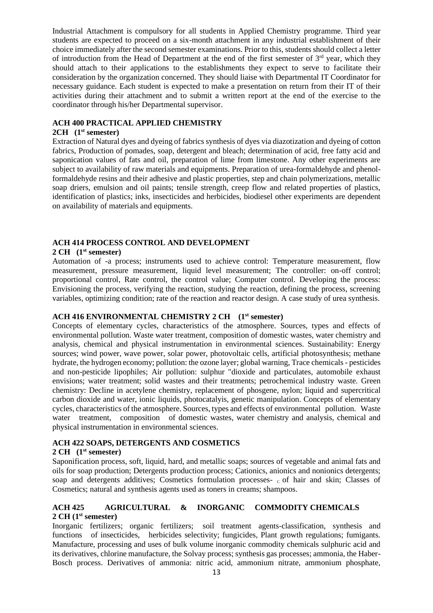Industrial Attachment is compulsory for all students in Applied Chemistry programme. Third year students are expected to proceed on a six-month attachment in any industrial establishment of their choice immediately after the second semester examinations. Prior to this, students should collect a letter of introduction from the Head of Department at the end of the first semester of 3<sup>rd</sup> year, which they should attach to their applications to the establishments they expect to serve to facilitate their consideration by the organization concerned. They should liaise with Departmental IT Coordinator for necessary guidance. Each student is expected to make a presentation on return from their IT of their activities during their attachment and to submit a written report at the end of the exercise to the coordinator through his/her Departmental supervisor.

## **ACH 400 PRACTICAL APPLIED CHEMISTRY**

## **2CH (1st semester)**

Extraction of Natural dyes and dyeing of fabrics synthesis of dyes via diazotization and dyeing of cotton fabrics, Production of pomades, soap, detergent and bleach; determination of acid, free fatty acid and saponication values of fats and oil, preparation of lime from limestone. Any other experiments are subject to availability of raw materials and equipments. Preparation of urea-formaldehyde and phenolformaldehyde resins and their adhesive and plastic properties, step and chain polymerizations, metallic soap driers, emulsion and oil paints; tensile strength, creep flow and related properties of plastics, identification of plastics; inks, insecticides and herbicides, biodiesel other experiments are dependent on availability of materials and equipments.

# **ACH 414 PROCESS CONTROL AND DEVELOPMENT**

## **2 CH (1st semester)**

Automation of -a process; instruments used to achieve control: Temperature measurement, flow measurement, pressure measurement, liquid level measurement; The controller: on-off control; proportional control, Rate control, the control value; Computer control. Developing the process: Envisioning the process, verifying the reaction, studying the reaction, defining the process, screening variables, optimizing condition; rate of the reaction and reactor design. A case study of urea synthesis.

## **ACH 416 ENVIRONMENTAL CHEMISTRY 2 CH (1st semester)**

Concepts of elementary cycles, characteristics of the atmosphere. Sources, types and effects of environmental pollution. Waste water treatment, composition of domestic wastes, water chemistry and analysis, chemical and physical instrumentation in environmental sciences. Sustainability: Energy sources; wind power, wave power, solar power, photovoltaic cells, artificial photosynthesis; methane hydrate, the hydrogen economy; pollution: the ozone layer; global warning, Trace chemicals - pesticides and non-pesticide lipophiles; Air pollution: sulphur "dioxide and particulates, automobile exhaust envisions; water treatment; solid wastes and their treatments; petrochemical industry waste. Green chemistry: Decline in acetylene chemistry, replacement of phosgene, nylon; liquid and supercritical carbon dioxide and water, ionic liquids, photocatalyis, genetic manipulation. Concepts of elementary cycles, characteristics of the atmosphere. Sources, types and effects of environmental pollution. Waste water treatment, composition of domestic wastes, water chemistry and analysis, chemical and physical instrumentation in environmental sciences.

# **ACH 422 SOAPS, DETERGENTS AND COSMETICS**

#### **2 CH (1st semester)**

Saponification process, soft, liquid, hard, and metallic soaps; sources of vegetable and animal fats and oils for soap production; Detergents production process; Cationics, anionics and nonionics detergents; soap and detergents additives; Cosmetics formulation processes-  $\epsilon$  of hair and skin; Classes of Cosmetics; natural and synthesis agents used as toners in creams; shampoos.

## **ACH 425 AGRICULTURAL & INORGANIC COMMODITY CHEMICALS 2 CH (1st semester)**

Inorganic fertilizers; organic fertilizers; soil treatment agents-classification, synthesis and functions of insecticides, herbicides selectivity; fungicides, Plant growth regulations; fumigants. Manufacture, processing and uses of bulk volume inorganic commodity chemicals sulphuric acid and its derivatives, chlorine manufacture, the Solvay process; synthesis gas processes; ammonia, the Haber-Bosch process. Derivatives of ammonia: nitric acid, ammonium nitrate, ammonium phosphate,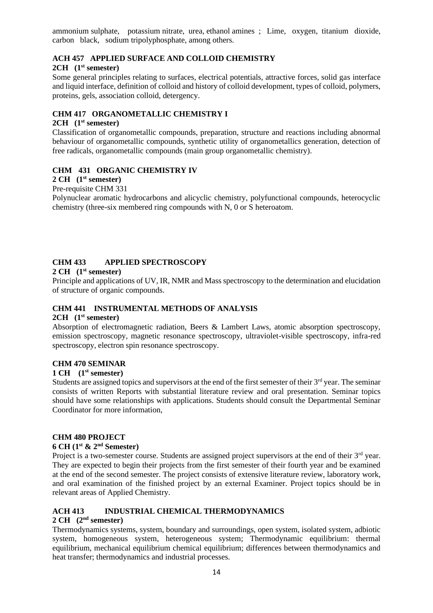ammonium sulphate, potassium nitrate, urea, ethanol amines ; Lime, oxygen, titanium dioxide, carbon black, sodium tripolyphosphate, among others.

# **ACH 457 APPLIED SURFACE AND COLLOID CHEMISTRY**

#### **2CH (1st semester)**

Some general principles relating to surfaces, electrical potentials, attractive forces, solid gas interface and liquid interface, definition of colloid and history of colloid development, types of colloid, polymers, proteins, gels, association colloid, detergency.

## **CHM 417 ORGANOMETALLIC CHEMISTRY I**

## **2CH (1st semester)**

Classification of organometallic compounds, preparation, structure and reactions including abnormal behaviour of organometallic compounds, synthetic utility of organometallics generation, detection of free radicals, organometallic compounds (main group organometallic chemistry).

#### **CHM 431 ORGANIC CHEMISTRY IV**

# **2 CH (1st semester)**

#### Pre-requisite CHM 331

Polynuclear aromatic hydrocarbons and alicyclic chemistry, polyfunctional compounds, heterocyclic chemistry (three-six membered ring compounds with N, 0 or S heteroatom.

## **CHM 433 APPLIED SPECTROSCOPY**

#### **2 CH (1st semester)**

Principle and applications of UV, IR, NMR and Mass spectroscopy to the determination and elucidation of structure of organic compounds.

## **CHM 441 INSTRUMENTAL METHODS OF ANALYSIS**

#### **2CH (1st semester)**

Absorption of electromagnetic radiation, Beers & Lambert Laws, atomic absorption spectroscopy, emission spectroscopy, magnetic resonance spectroscopy, ultraviolet-visible spectroscopy, infra-red spectroscopy, electron spin resonance spectroscopy.

#### **CHM 470 SEMINAR**

#### **1 CH (1st semester)**

Students are assigned topics and supervisors at the end of the first semester of their  $3<sup>rd</sup>$  year. The seminar consists of written Reports with substantial literature review and oral presentation. Seminar topics should have some relationships with applications. Students should consult the Departmental Seminar Coordinator for more information,

#### **CHM 480 PROJECT**

#### **6 CH (1st & 2nd Semester)**

Project is a two-semester course. Students are assigned project supervisors at the end of their  $3<sup>rd</sup>$  year. They are expected to begin their projects from the first semester of their fourth year and be examined at the end of the second semester. The project consists of extensive literature review, laboratory work, and oral examination of the finished project by an external Examiner. Project topics should be in relevant areas of Applied Chemistry.

## **ACH 413 INDUSTRIAL CHEMICAL THERMODYNAMICS**

## **2 CH (2nd semester)**

Thermodynamics systems, system, boundary and surroundings, open system, isolated system, adbiotic system, homogeneous system, heterogeneous system; Thermodynamic equilibrium: thermal equilibrium, mechanical equilibrium chemical equilibrium; differences between thermodynamics and heat transfer; thermodynamics and industrial processes.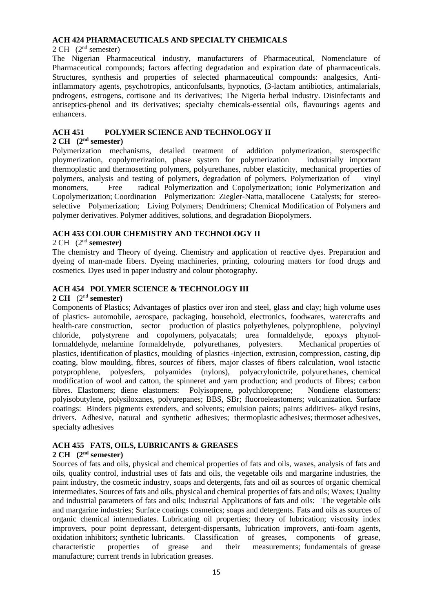#### **ACH 424 PHARMACEUTICALS AND SPECIALTY CHEMICALS**

#### $2 \text{ CH}$  ( $2^{\text{nd}}$  semester)

The Nigerian Pharmaceutical industry, manufacturers of Pharmaceutical, Nomenclature of Pharmaceutical compounds; factors affecting degradation and expiration date of pharmaceuticals. Structures, synthesis and properties of selected pharmaceutical compounds: analgesics, Antiinflammatory agents, psychotropics, anticonfulsants, hypnotics, (3-lactam antibiotics, antimalarials, pndrogens, estrogens, cortisone and its derivatives; The Nigeria herbal industry. Disinfectants and antiseptics-phenol and its derivatives; specialty chemicals-essential oils, flavourings agents and enhancers.

# **ACH 451 POLYMER SCIENCE AND TECHNOLOGY II**

#### **2 CH (2nd semester)**

Polymerization mechanisms, detailed treatment of addition polymerization, sterospecific ploymerization, copolymerization, phase system for polymerization industrially important thermoplastic and thermosetting polymers, polyurethanes, rubber elasticity, mechanical properties of polymers, analysis and testing of polymers, degradation of polymers. Polymerization of vinyl monomers, Free radical Polymerization and Copolymerization; ionic Polymerization and Copolymerization; Coordination Polymerization: Ziegler-Natta, matallocene Catalysts; for stereoselective Polymerization; Living Polymers; Dendrimers; Chemical Modification of Polymers and polymer derivatives. Polymer additives, solutions, and degradation Biopolymers.

## **ACH 453 COLOUR CHEMISTRY AND TECHNOLOGY II**

## 2 CH (2nd **semester)**

The chemistry and Theory of dyeing. Chemistry and application of reactive dyes. Preparation and dyeing of man-made fibers. Dyeing machineries, printing, colouring matters for food drugs and cosmetics. Dyes used in paper industry and colour photography.

## **ACH 454 POLYMER SCIENCE & TECHNOLOGY III**

#### **2 CH** (2nd **semester)**

Components of Plastics; Advantages of plastics over iron and steel, glass and clay; high volume uses of plastics- automobile, aerospace, packaging, household, electronics, foodwares, watercrafts and health-care construction, sector production of plastics polyethylenes, polyprophlene, polyvinyl chloride, polystyrene and copolymers, polyacatals; urea formaldehyde, epoxys phynolformaldehyde, melarnine formaldehyde, polyurethanes, polyesters. Mechanical properties of plastics, identification of plastics, moulding of plastics -injection, extrusion, compression, casting, dip coating, blow moulding, fibres, sources of fibers, major classes of fibers calculation, wool istactic potyprophlene, polyesfers, polyamides (nylons), polyacrylonictrile, polyurethanes, chemical modification of wool and catton, the spinneret and yarn production; and products of fibres; carbon fibres. Elastomers; diene elastomers: Polyisoprene, polychloroprene; Nondiene elastomers: polyisobutylene, polysiloxanes, polyurepanes; BBS, SBr; fluoroeleastomers; vulcanization. Surface coatings: Binders pigments extenders, and solvents; emulsion paints; paints additives- aikyd resins, drivers. Adhesive, natural and synthetic adhesives; thermoplastic adhesives; thermoset adhesives, specialty adhesives

# **ACH 455 FATS, OILS, LUBRICANTS & GREASES**

#### **2 CH (2nd semester)**

Sources of fats and oils, physical and chemical properties of fats and oils, waxes, analysis of fats and oils, quality control, industrial uses of fats and oils, the vegetable oils and margarine industries, the paint industry, the cosmetic industry, soaps and detergents, fats and oil as sources of organic chemical intermediates. Sources of fats and oils, physical and chemical properties of fats and oils; Waxes; Quality and industrial parameters of fats and oils; Industrial Applications of fats and oils: The vegetable oils and margarine industries; Surface coatings cosmetics; soaps and detergents. Fats and oils as sources of organic chemical intermediates. Lubricating oil properties; theory of lubrication; viscosity index improvers, pour point depressant, detergent-dispersants, lubrication improvers, anti-foam agents, oxidation inhibitors; synthetic lubricants. Classification of greases, components of grease, characteristic properties of grease and their measurements; fundamentals of grease manufacture; current trends in lubrication greases.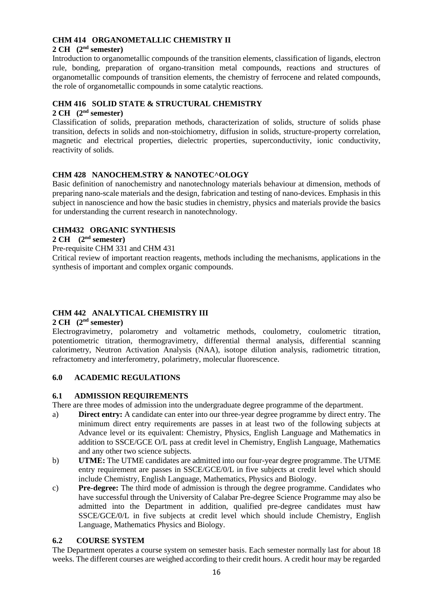# **CHM 414 ORGANOMETALLIC CHEMISTRY II**

## **2 CH (2nd semester)**

Introduction to organometallic compounds of the transition elements, classification of ligands, electron rule, bonding, preparation of organo-transition metal compounds, reactions and structures of organometallic compounds of transition elements, the chemistry of ferrocene and related compounds, the role of organometallic compounds in some catalytic reactions.

## **CHM 416 SOLID STATE & STRUCTURAL CHEMISTRY**

## **2 CH (2nd semester)**

Classification of solids, preparation methods, characterization of solids, structure of solids phase transition, defects in solids and non-stoichiometry, diffusion in solids, structure-property correlation, magnetic and electrical properties, dielectric properties, superconductivity, ionic conductivity, reactivity of solids.

# **CHM 428 NANOCHEM.STRY & NANOTEC^OLOGY**

Basic definition of nanochemistry and nanotechnology materials behaviour at dimension, methods of preparing nano-scale materials and the design, fabrication and testing of nano-devices. Emphasis in this subject in nanoscience and how the basic studies in chemistry, physics and materials provide the basics for understanding the current research in nanotechnology.

## **CHM432 ORGANIC SYNTHESIS**

## **2 CH (2nd semester)**

Pre-requisite CHM 331 and CHM 431

Critical review of important reaction reagents, methods including the mechanisms, applications in the synthesis of important and complex organic compounds.

# **CHM 442 ANALYTICAL CHEMISTRY III**

#### **2 CH (2nd semester)**

Electrogravimetry, polarometry and voltametric methods, coulometry, coulometric titration, potentiometric titration, thermogravimetry, differential thermal analysis, differential scanning calorimetry, Neutron Activation Analysis (NAA), isotope dilution analysis, radiometric titration, refractometry and interferometry, polarimetry, molecular fluorescence.

#### **6.0 ACADEMIC REGULATIONS**

#### **6.1 ADMISSION REQUIREMENTS**

There are three modes of admission into the undergraduate degree programme of the department.

- a) **Direct entry:** A candidate can enter into our three-year degree programme by direct entry. The minimum direct entry requirements are passes in at least two of the following subjects at Advance level or its equivalent: Chemistry, Physics, English Language and Mathematics in addition to SSCE/GCE O/L pass at credit level in Chemistry, English Language, Mathematics and any other two science subjects.
- b) **UTME:** The UTME candidates are admitted into our four-year degree programme. The UTME entry requirement are passes in SSCE/GCE/0/L in five subjects at credit level which should include Chemistry, English Language, Mathematics, Physics and Biology.
- c) **Pre-degree:** The third mode of admission is through the degree programme. Candidates who have successful through the University of Calabar Pre-degree Science Programme may also be admitted into the Department in addition, qualified pre-degree candidates must haw SSCE/GCE/0/L in five subjects at credit level which should include Chemistry, English Language, Mathematics Physics and Biology.

# **6.2 COURSE SYSTEM**

The Department operates a course system on semester basis. Each semester normally last for about 18 weeks. The different courses are weighed according to their credit hours. A credit hour may be regarded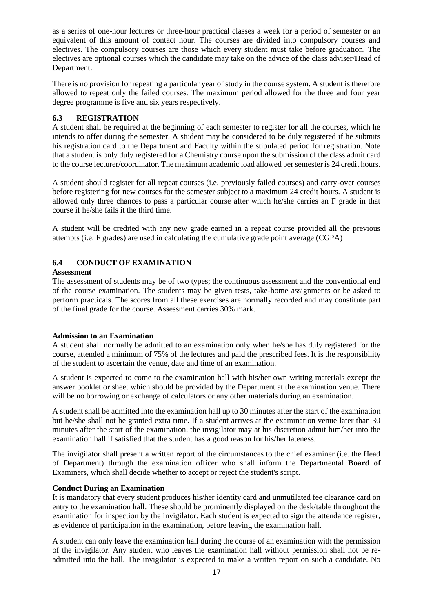as a series of one-hour lectures or three-hour practical classes a week for a period of semester or an equivalent of this amount of contact hour. The courses are divided into compulsory courses and electives. The compulsory courses are those which every student must take before graduation. The electives are optional courses which the candidate may take on the advice of the class adviser/Head of Department.

There is no provision for repeating a particular year of study in the course system. A student is therefore allowed to repeat only the failed courses. The maximum period allowed for the three and four year degree programme is five and six years respectively.

## **6.3 REGISTRATION**

A student shall be required at the beginning of each semester to register for all the courses, which he intends to offer during the semester. A student may be considered to be duly registered if he submits his registration card to the Department and Faculty within the stipulated period for registration. Note that a student is only duly registered for a Chemistry course upon the submission of the class admit card to the course lecturer/coordinator. The maximum academic load allowed per semester is 24 credit hours.

A student should register for all repeat courses (i.e. previously failed courses) and carry-over courses before registering for new courses for the semester subject to a maximum 24 credit hours. A student is allowed only three chances to pass a particular course after which he/she carries an F grade in that course if he/she fails it the third time.

A student will be credited with any new grade earned in a repeat course provided all the previous attempts (i.e. F grades) are used in calculating the cumulative grade point average (CGPA)

# **6.4 CONDUCT OF EXAMINATION**

#### **Assessment**

The assessment of students may be of two types; the continuous assessment and the conventional end of the course examination. The students may be given tests, take-home assignments or be asked to perform practicals. The scores from all these exercises are normally recorded and may constitute part of the final grade for the course. Assessment carries 30% mark.

#### **Admission to an Examination**

A student shall normally be admitted to an examination only when he/she has duly registered for the course, attended a minimum of 75% of the lectures and paid the prescribed fees. It is the responsibility of the student to ascertain the venue, date and time of an examination.

A student is expected to come to the examination hall with his/her own writing materials except the answer booklet or sheet which should be provided by the Department at the examination venue. There will be no borrowing or exchange of calculators or any other materials during an examination.

A student shall be admitted into the examination hall up to 30 minutes after the start of the examination but he/she shall not be granted extra time. If a student arrives at the examination venue later than 30 minutes after the start of the examination, the invigilator may at his discretion admit him/her into the examination hall if satisfied that the student has a good reason for his/her lateness.

The invigilator shall present a written report of the circumstances to the chief examiner (i.e. the Head of Department) through the examination officer who shall inform the Departmental **Board of**  Examiners, which shall decide whether to accept or reject the student's script.

## **Conduct During an Examination**

It is mandatory that every student produces his/her identity card and unmutilated fee clearance card on entry to the examination hall. These should be prominently displayed on the desk/table throughout the examination for inspection by the invigilator. Each student is expected to sign the attendance register, as evidence of participation in the examination, before leaving the examination hall.

A student can only leave the examination hall during the course of an examination with the permission of the invigilator. Any student who leaves the examination hall without permission shall not be readmitted into the hall. The invigilator is expected to make a written report on such a candidate. No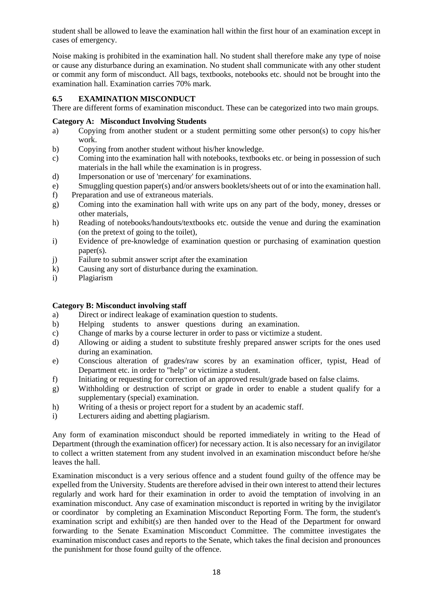student shall be allowed to leave the examination hall within the first hour of an examination except in cases of emergency.

Noise making is prohibited in the examination hall. No student shall therefore make any type of noise or cause any disturbance during an examination. No student shall communicate with any other student or commit any form of misconduct. All bags, textbooks, notebooks etc. should not be brought into the examination hall. Examination carries 70% mark.

# **6.5 EXAMINATION MISCONDUCT**

There are different forms of examination misconduct. These can be categorized into two main groups.

## **Category A: Misconduct Involving Students**

- a) Copying from another student or a student permitting some other person(s) to copy his/her work.
- b) Copying from another student without his/her knowledge.
- c) Coming into the examination hall with notebooks, textbooks etc. or being in possession of such materials in the hall while the examination is in progress.
- d) Impersonation or use of 'mercenary' for examinations.
- e) Smuggling question paper(s) and/or answers booklets/sheets out of or into the examination hall.
- f) Preparation and use of extraneous materials.
- g) Coming into the examination hall with write ups on any part of the body, money, dresses or other materials,
- h) Reading of notebooks/handouts/textbooks etc. outside the venue and during the examination (on the pretext of going to the toilet),
- i) Evidence of pre-knowledge of examination question or purchasing of examination question paper(s).
- j) Failure to submit answer script after the examination
- k) Causing any sort of disturbance during the examination.
- i) Plagiarism

## **Category B: Misconduct involving staff**

- a) Direct or indirect leakage of examination question to students.
- b) Helping students to answer questions during an examination.
- c) Change of marks by a course lecturer in order to pass or victimize a student.
- d) Allowing or aiding a student to substitute freshly prepared answer scripts for the ones used during an examination.
- e) Conscious alteration of grades/raw scores by an examination officer, typist, Head of Department etc. in order to "help" or victimize a student.
- f) Initiating or requesting for correction of an approved result/grade based on false claims.
- g) Withholding or destruction of script or grade in order to enable a student qualify for a supplementary (special) examination.
- h) Writing of a thesis or project report for a student by an academic staff.
- i) Lecturers aiding and abetting plagiarism.

Any form of examination misconduct should be reported immediately in writing to the Head of Department (through the examination officer) for necessary action. It is also necessary for an invigilator to collect a written statement from any student involved in an examination misconduct before he/she leaves the hall.

Examination misconduct is a very serious offence and a student found guilty of the offence may be expelled from the University. Students are therefore advised in their own interest to attend their lectures regularly and work hard for their examination in order to avoid the temptation of involving in an examination misconduct. Any case of examination misconduct is reported in writing by the invigilator or coordinator by completing an Examination Misconduct Reporting Form. The form, the student's examination script and exhibit(s) are then handed over to the Head of the Department for onward forwarding to the Senate Examination Misconduct Committee. The committee investigates the examination misconduct cases and reports to the Senate, which takes the final decision and pronounces the punishment for those found guilty of the offence.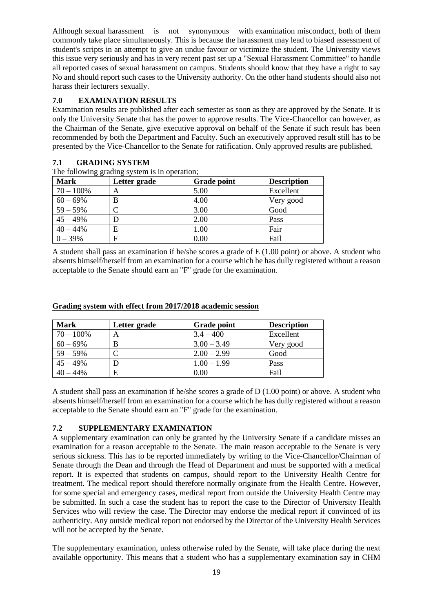Although sexual harassment is not synonymous with examination misconduct, both of them commonly take place simultaneously. This is because the harassment may lead to biased assessment of student's scripts in an attempt to give an undue favour or victimize the student. The University views this issue very seriously and has in very recent past set up a "Sexual Harassment Committee" to handle all reported cases of sexual harassment on campus. Students should know that they have a right to say No and should report such cases to the University authority. On the other hand students should also not harass their lecturers sexually.

# **7.0 EXAMINATION RESULTS**

Examination results are published after each semester as soon as they are approved by the Senate. It is only the University Senate that has the power to approve results. The Vice-Chancellor can however, as the Chairman of the Senate, give executive approval on behalf of the Senate if such result has been recommended by both the Department and Faculty. Such an executively approved result still has to be presented by the Vice-Chancellor to the Senate for ratification. Only approved results are published.

# **7.1 GRADING SYSTEM**

The following grading system is in operation;

| $\sigma$ $\sigma$ $\sim$<br><b>Mark</b> | Letter grade | <b>Grade point</b> | <b>Description</b> |
|-----------------------------------------|--------------|--------------------|--------------------|
| $70 - 100\%$                            | А            | 5.00               | Excellent          |
| $60 - 69%$                              | B            | 4.00               | Very good          |
| $59 - 59%$                              |              | 3.00               | Good               |
| $45 - 49%$                              |              | 2.00               | Pass               |
| $40 - 44%$                              | E            | 1.00               | Fair               |
| $0 - 39%$                               | F            | 0.00               | Fail               |

A student shall pass an examination if he/she scores a grade of E (1.00 point) or above. A student who absents himself/herself from an examination for a course which he has dully registered without a reason acceptable to the Senate should earn an "F" grade for the examination.

| <b>Mark</b>  | Letter grade | <b>Grade point</b> | <b>Description</b> |
|--------------|--------------|--------------------|--------------------|
| $70 - 100\%$ |              | $3.4 - 400$        | Excellent          |
| $60 - 69\%$  |              | $3.00 - 3.49$      | Very good          |
| $59 - 59\%$  |              | $2.00 - 2.99$      | Good               |
| $45 - 49\%$  |              | $1.00 - 1.99$      | Pass               |
| $40 - 44\%$  | E            | $0.00\,$           | Fail               |

#### **Grading system with effect from 2017/2018 academic session**

A student shall pass an examination if he/she scores a grade of D (1.00 point) or above. A student who absents himself/herself from an examination for a course which he has dully registered without a reason acceptable to the Senate should earn an "F" grade for the examination.

#### **7.2 SUPPLEMENTARY EXAMINATION**

A supplementary examination can only be granted by the University Senate if a candidate misses an examination for a reason acceptable to the Senate. The main reason acceptable to the Senate is very serious sickness. This has to be reported immediately by writing to the Vice-Chancellor/Chairman of Senate through the Dean and through the Head of Department and must be supported with a medical report. It is expected that students on campus, should report to the University Health Centre for treatment. The medical report should therefore normally originate from the Health Centre. However, for some special and emergency cases, medical report from outside the University Health Centre may be submitted. In such a case the student has to report the case to the Director of University Health Services who will review the case. The Director may endorse the medical report if convinced of its authenticity. Any outside medical report not endorsed by the Director of the University Health Services will not be accepted by the Senate.

The supplementary examination, unless otherwise ruled by the Senate, will take place during the next available opportunity. This means that a student who has a supplementary examination say in CHM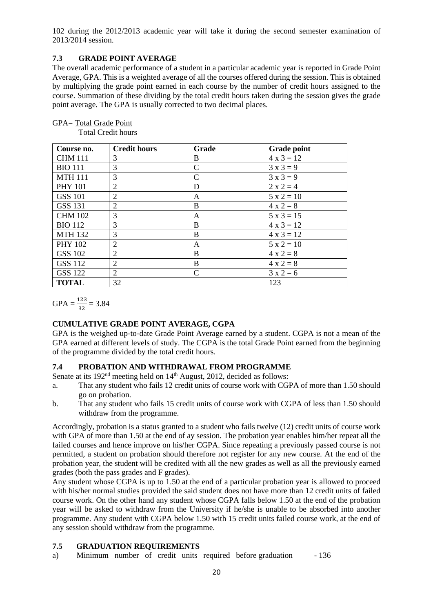102 during the 2012/2013 academic year will take it during the second semester examination of 2013/2014 session.

## **7.3 GRADE POINT AVERAGE**

The overall academic performance of a student in a particular academic year is reported in Grade Point Average, GPA. This is a weighted average of all the courses offered during the session. This is obtained by multiplying the grade point earned in each course by the number of credit hours assigned to the course. Summation of these dividing by the total credit hours taken during the session gives the grade point average. The GPA is usually corrected to two decimal places.

| Course no.     | <b>Credit hours</b> | Grade         | <b>Grade point</b> |
|----------------|---------------------|---------------|--------------------|
| <b>CHM 111</b> | 3                   | B             | $4 \times 3 = 12$  |
| <b>BIO 111</b> | 3                   | $\mathbf C$   | $3x3=9$            |
| <b>MTH 111</b> | 3                   | $\mathcal{C}$ | $3x3=9$            |
| <b>PHY 101</b> | 2                   | D             | $2 x 2 = 4$        |
| <b>GSS 101</b> | $\overline{2}$      | A             | $5 x 2 = 10$       |
| <b>GSS 131</b> | 2                   | B             | $4 x 2 = 8$        |
| <b>CHM 102</b> | 3                   | A             | $5x3 = 15$         |
| <b>BIO 112</b> | 3                   | B             | $4x3 = 12$         |
| <b>MTH 132</b> | 3                   | B             | $4 \times 3 = 12$  |
| <b>PHY 102</b> | 2                   | A             | $5 x 2 = 10$       |
| <b>GSS 102</b> | 2                   | B             | $4 \times 2 = 8$   |
| <b>GSS 112</b> | 2                   | B             | $4 x 2 = 8$        |
| <b>GSS 122</b> | 2                   | $\mathcal{C}$ | $3x2=6$            |
| <b>TOTAL</b>   | 32                  |               | 123                |

## GPA= Total Grade Point

Total Credit hours

 $GPA = \frac{123}{32} = 3.84$ 

# **CUMULATIVE GRADE POINT AVERAGE, CGPA**

GPA is the weighed up-to-date Grade Point Average earned by a student. CGPA is not a mean of the GPA earned at different levels of study. The CGPA is the total Grade Point earned from the beginning of the programme divided by the total credit hours.

# **7.4 PROBATION AND WITHDRAWAL FROM PROGRAMME**

Senate at its 192<sup>nd</sup> meeting held on 14<sup>th</sup> August, 2012, decided as follows:

- a. That any student who fails 12 credit units of course work with CGPA of more than 1.50 should go on probation.
- b. That any student who fails 15 credit units of course work with CGPA of less than 1.50 should withdraw from the programme.

Accordingly, probation is a status granted to a student who fails twelve (12) credit units of course work with GPA of more than 1.50 at the end of ay session. The probation year enables him/her repeat all the failed courses and hence improve on his/her CGPA. Since repeating a previously passed course is not permitted, a student on probation should therefore not register for any new course. At the end of the probation year, the student will be credited with all the new grades as well as all the previously earned grades (both the pass grades and F grades).

Any student whose CGPA is up to 1.50 at the end of a particular probation year is allowed to proceed with his/her normal studies provided the said student does not have more than 12 credit units of failed course work. On the other hand any student whose CGPA falls below 1.50 at the end of the probation year will be asked to withdraw from the University if he/she is unable to be absorbed into another programme. Any student with CGPA below 1.50 with 15 credit units failed course work, at the end of any session should withdraw from the programme.

# **7.5 GRADUATION REQUIREMENTS**

a) Minimum number of credit units required before graduation - 136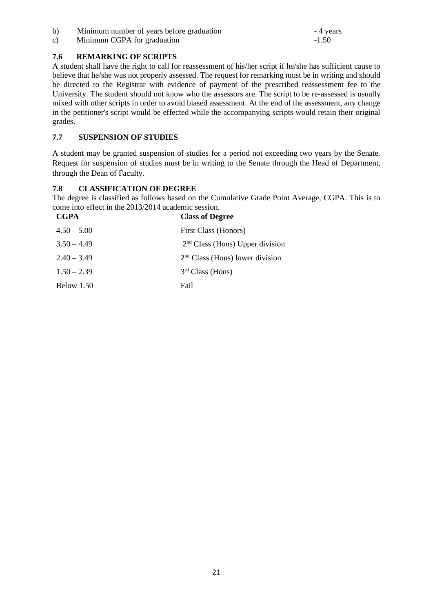b) Minimum number of years before graduation - 4 years

c) Minimum CGPA for graduation  $-1.50$ 

# **7.6 REMARKING OF SCRIPTS**

A student shall have the right to call for reassessment of his/her script if he/she has sufficient cause to believe that he/she was not properly assessed. The request for remarking must be in writing and should be directed to the Registrar with evidence of payment of the prescribed reassessment fee to the University. The student should not know who the assessors are. The script to be re-assessed is usually mixed with other scripts in order to avoid biased assessment. At the end of the assessment, any change in the petitioner's script would be effected while the accompanying scripts would retain their original grades.

# **7.7 SUSPENSION OF STUDIES**

A student may be granted suspension of studies for a period not exceeding two years by the Senate. Request for suspension of studies must be in writing to the Senate through the Head of Department, through the Dean of Faculty.

# **7.8 CLASSIFICATION OF DEGREE**

The degree is classified as follows based on the Cumulative Grade Point Average, CGPA. This is to come into effect in the 2013/2014 academic session.

| <b>CGPA</b>   | <b>Class of Degree</b>            |
|---------------|-----------------------------------|
| $4.50 - 5.00$ | First Class (Honors)              |
| $3.50 - 4.49$ | $2nd Class (Hons) Upper division$ |
| $2.40 - 3.49$ | $2nd Class (Hons) lower division$ |
| $1.50 - 2.39$ | 3 <sup>rd</sup> Class (Hons)      |
| Below 1.50    | Fail                              |